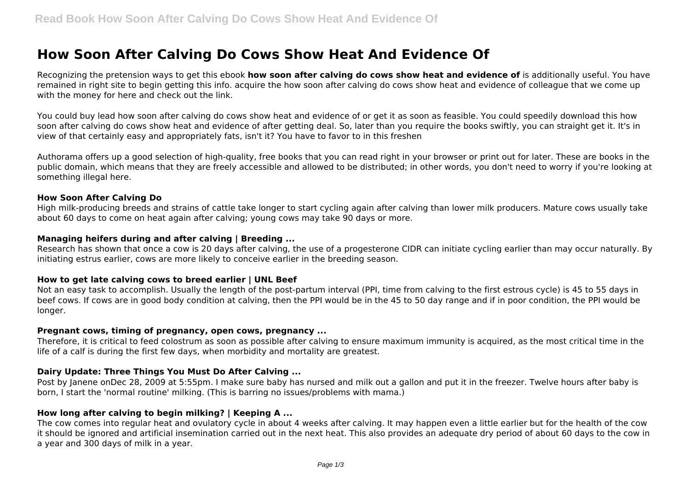# **How Soon After Calving Do Cows Show Heat And Evidence Of**

Recognizing the pretension ways to get this ebook **how soon after calving do cows show heat and evidence of** is additionally useful. You have remained in right site to begin getting this info. acquire the how soon after calving do cows show heat and evidence of colleague that we come up with the money for here and check out the link.

You could buy lead how soon after calving do cows show heat and evidence of or get it as soon as feasible. You could speedily download this how soon after calving do cows show heat and evidence of after getting deal. So, later than you require the books swiftly, you can straight get it. It's in view of that certainly easy and appropriately fats, isn't it? You have to favor to in this freshen

Authorama offers up a good selection of high-quality, free books that you can read right in your browser or print out for later. These are books in the public domain, which means that they are freely accessible and allowed to be distributed; in other words, you don't need to worry if you're looking at something illegal here.

#### **How Soon After Calving Do**

High milk-producing breeds and strains of cattle take longer to start cycling again after calving than lower milk producers. Mature cows usually take about 60 days to come on heat again after calving; young cows may take 90 days or more.

#### **Managing heifers during and after calving | Breeding ...**

Research has shown that once a cow is 20 days after calving, the use of a progesterone CIDR can initiate cycling earlier than may occur naturally. By initiating estrus earlier, cows are more likely to conceive earlier in the breeding season.

#### **How to get late calving cows to breed earlier | UNL Beef**

Not an easy task to accomplish. Usually the length of the post-partum interval (PPI, time from calving to the first estrous cycle) is 45 to 55 days in beef cows. If cows are in good body condition at calving, then the PPI would be in the 45 to 50 day range and if in poor condition, the PPI would be longer.

#### **Pregnant cows, timing of pregnancy, open cows, pregnancy ...**

Therefore, it is critical to feed colostrum as soon as possible after calving to ensure maximum immunity is acquired, as the most critical time in the life of a calf is during the first few days, when morbidity and mortality are greatest.

### **Dairy Update: Three Things You Must Do After Calving ...**

Post by Janene onDec 28, 2009 at 5:55pm. I make sure baby has nursed and milk out a gallon and put it in the freezer. Twelve hours after baby is born, I start the 'normal routine' milking. (This is barring no issues/problems with mama.)

### **How long after calving to begin milking? | Keeping A ...**

The cow comes into regular heat and ovulatory cycle in about 4 weeks after calving. It may happen even a little earlier but for the health of the cow it should be ignored and artificial insemination carried out in the next heat. This also provides an adequate dry period of about 60 days to the cow in a year and 300 days of milk in a year.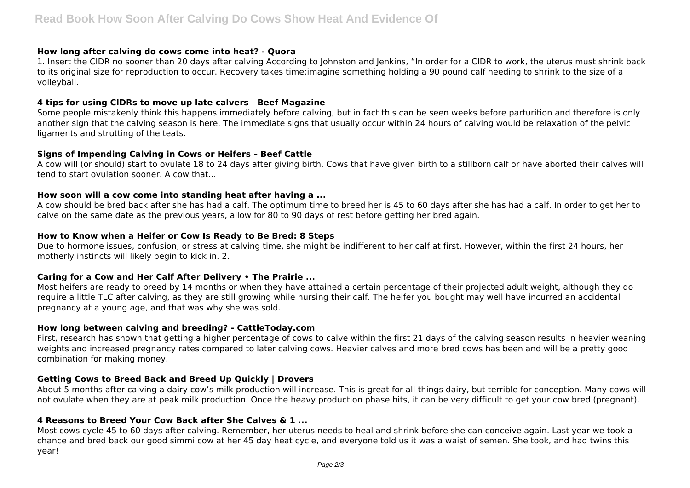#### **How long after calving do cows come into heat? - Quora**

1. Insert the CIDR no sooner than 20 days after calving According to Johnston and Jenkins, "In order for a CIDR to work, the uterus must shrink back to its original size for reproduction to occur. Recovery takes time;imagine something holding a 90 pound calf needing to shrink to the size of a volleyball.

## **4 tips for using CIDRs to move up late calvers | Beef Magazine**

Some people mistakenly think this happens immediately before calving, but in fact this can be seen weeks before parturition and therefore is only another sign that the calving season is here. The immediate signs that usually occur within 24 hours of calving would be relaxation of the pelvic ligaments and strutting of the teats.

#### **Signs of Impending Calving in Cows or Heifers – Beef Cattle**

A cow will (or should) start to ovulate 18 to 24 days after giving birth. Cows that have given birth to a stillborn calf or have aborted their calves will tend to start ovulation sooner. A cow that...

## **How soon will a cow come into standing heat after having a ...**

A cow should be bred back after she has had a calf. The optimum time to breed her is 45 to 60 days after she has had a calf. In order to get her to calve on the same date as the previous years, allow for 80 to 90 days of rest before getting her bred again.

#### **How to Know when a Heifer or Cow Is Ready to Be Bred: 8 Steps**

Due to hormone issues, confusion, or stress at calving time, she might be indifferent to her calf at first. However, within the first 24 hours, her motherly instincts will likely begin to kick in. 2.

#### **Caring for a Cow and Her Calf After Delivery • The Prairie ...**

Most heifers are ready to breed by 14 months or when they have attained a certain percentage of their projected adult weight, although they do require a little TLC after calving, as they are still growing while nursing their calf. The heifer you bought may well have incurred an accidental pregnancy at a young age, and that was why she was sold.

#### **How long between calving and breeding? - CattleToday.com**

First, research has shown that getting a higher percentage of cows to calve within the first 21 days of the calving season results in heavier weaning weights and increased pregnancy rates compared to later calving cows. Heavier calves and more bred cows has been and will be a pretty good combination for making money.

## **Getting Cows to Breed Back and Breed Up Quickly | Drovers**

About 5 months after calving a dairy cow's milk production will increase. This is great for all things dairy, but terrible for conception. Many cows will not ovulate when they are at peak milk production. Once the heavy production phase hits, it can be very difficult to get your cow bred (pregnant).

#### **4 Reasons to Breed Your Cow Back after She Calves & 1 ...**

Most cows cycle 45 to 60 days after calving. Remember, her uterus needs to heal and shrink before she can conceive again. Last year we took a chance and bred back our good simmi cow at her 45 day heat cycle, and everyone told us it was a waist of semen. She took, and had twins this year!